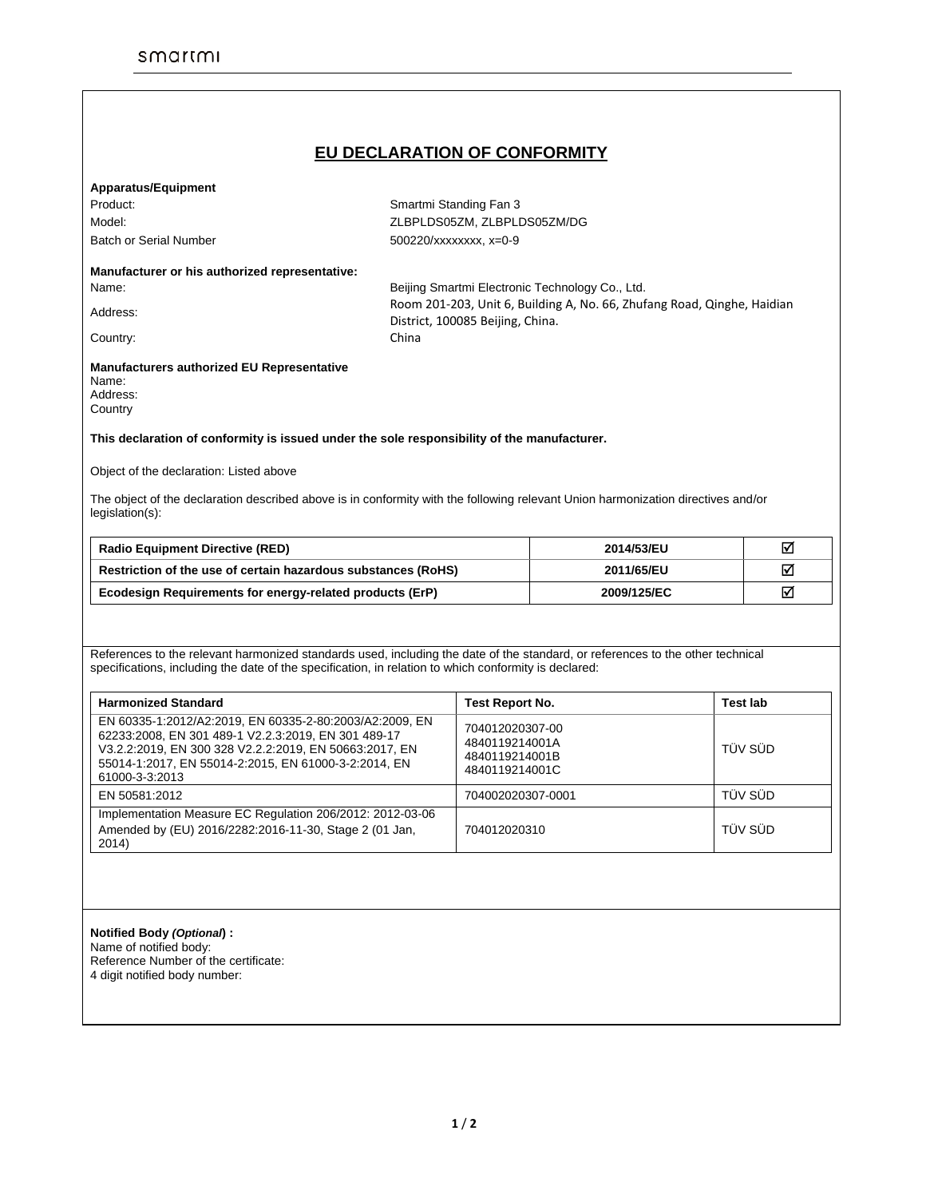# **EU DECLARATION OF CONFORMITY**

### **Apparatus/Equipment**

Product: Smartmi Standing Fan 3

Model: ZLBPLDS05ZM, ZLBPLDS05ZM/DG Batch or Serial Number 500220/xxxxxxx, x=0-9

## **Manufacturer or his authorized representative:**

Name: Beijing Smartmi Electronic Technology Co., Ltd. Address: Room 201-203, Unit 6, Building A, No. 66, Zhufang Road, Qinghe, Haidian District, 100085 Beijing, China.

Country: Country: China

#### **Manufacturers authorized EU Representative**  Name:

| нанг.    |  |
|----------|--|
| Address: |  |
| Country  |  |

### **This declaration of conformity is issued under the sole responsibility of the manufacturer.**

Object of the declaration: Listed above

The object of the declaration described above is in conformity with the following relevant Union harmonization directives and/or legislation(s):

| <b>Radio Equipment Directive (RED)</b>                        | 2014/53/EU  | M |
|---------------------------------------------------------------|-------------|---|
| Restriction of the use of certain hazardous substances (RoHS) | 2011/65/EU  | ⊽ |
| Ecodesign Requirements for energy-related products (ErP)      | 2009/125/EC | M |

References to the relevant harmonized standards used, including the date of the standard, or references to the other technical specifications, including the date of the specification, in relation to which conformity is declared:

| <b>Harmonized Standard</b>                                                                                                                                                                                                                         | <b>Test Report No.</b>                                                | Test lab |
|----------------------------------------------------------------------------------------------------------------------------------------------------------------------------------------------------------------------------------------------------|-----------------------------------------------------------------------|----------|
| EN 60335-1:2012/A2:2019, EN 60335-2-80:2003/A2:2009, EN<br>62233:2008, EN 301 489-1 V2.2.3:2019, EN 301 489-17<br>V3.2.2:2019, EN 300 328 V2.2.2:2019, EN 50663:2017, EN<br>55014-1:2017, EN 55014-2:2015, EN 61000-3-2:2014, EN<br>61000-3-3:2013 | 704012020307-00<br>4840119214001A<br>4840119214001B<br>4840119214001C | TÜV SÜD  |
| EN 50581:2012                                                                                                                                                                                                                                      | 704002020307-0001                                                     | TÜV SÜD  |
| Implementation Measure EC Regulation 206/2012: 2012-03-06<br>Amended by (EU) 2016/2282:2016-11-30, Stage 2 (01 Jan,<br>2014)                                                                                                                       | 704012020310                                                          | TÜV SÜD  |

## **Notified Body** *(Optional***) :**

Name of notified body: Reference Number of the certificate: 4 digit notified body number: